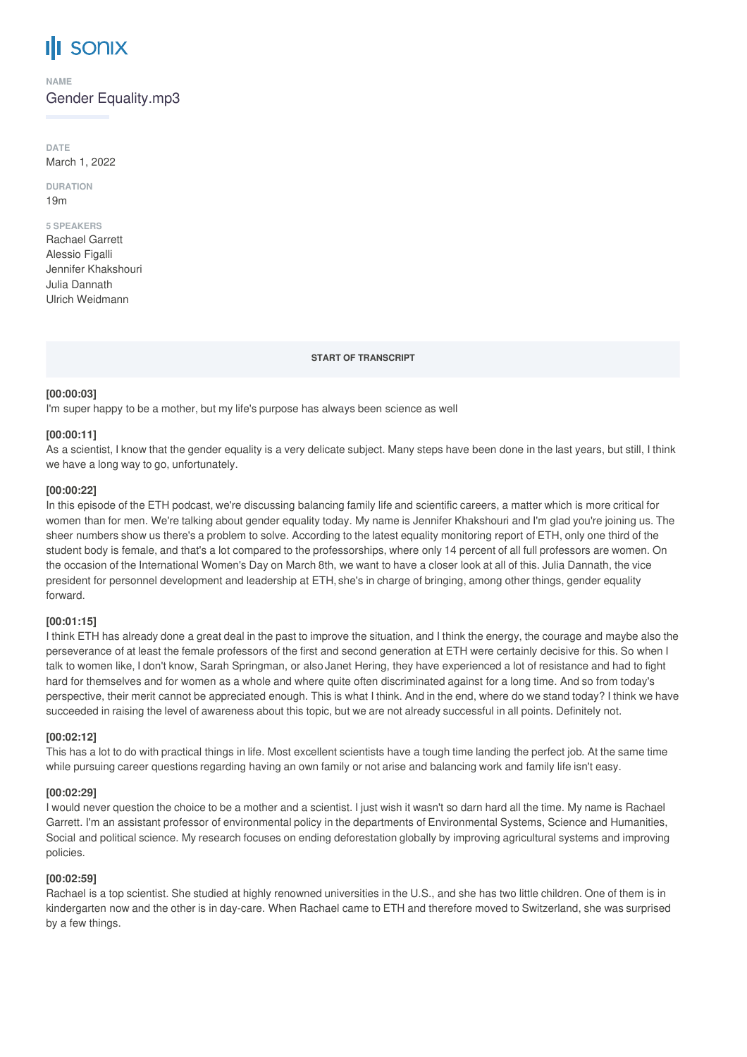# **SONIX**

**NAME**

Gender Equality.mp3

**DATE** March 1, 2022

**DURATION** 19m

#### **5 SPEAKERS**

Rachael Garrett Alessio Figalli Jennifer Khakshouri Julia Dannath Ulrich Weidmann

**START OF TRANSCRIPT**

### **[00:00:03]**

I'm super happy to be a mother, but my life's purpose has always been science as well

## **[00:00:11]**

As a scientist, I know that the gender equality is a very delicate subject. Many steps have been done in the last years, but still, I think we have a long way to go, unfortunately.

### **[00:00:22]**

In this episode of the ETH podcast, we're discussing balancing family life and scientific careers, a matter which is more critical for women than for men. We're talking about gender equality today. My name is Jennifer Khakshouri and I'm glad you're joining us. The sheer numbers show us there's a problem to solve. According to the latest equality monitoring report of ETH, only one third of the student body is female, and that's a lot compared to the professorships, where only 14 percent of all full professors are women. On the occasion of the International Women's Day on March 8th, we want to have a closer look at all of this. Julia Dannath, the vice president for personnel development and leadership at ETH, she's in charge of bringing, among other things, gender equality forward.

### **[00:01:15]**

I think ETH has already done a great deal in the past to improve the situation, and I think the energy, the courage and maybe also the perseverance of at least the female professors of the first and second generation at ETH were certainly decisive for this. So when I talk to women like, I don't know, Sarah Springman, or also Janet Hering, they have experienced a lot of resistance and had to fight hard for themselves and for women as a whole and where quite often discriminated against for a long time. And so from today's perspective, their merit cannot be appreciated enough. This is what I think. And in the end, where do we stand today? I think we have succeeded in raising the level of awareness about this topic, but we are not already successful in all points. Definitely not.

### **[00:02:12]**

This has a lot to do with practical things in life. Most excellent scientists have a tough time landing the perfect job. At the same time while pursuing career questions regarding having an own family or not arise and balancing work and family life isn't easy.

## **[00:02:29]**

I would never question the choice to be a mother and a scientist. I just wish it wasn't so darn hard all the time. My name is Rachael Garrett. I'm an assistant professor of environmental policy in the departments of Environmental Systems, Science and Humanities, Social and political science. My research focuses on ending deforestation globally by improving agricultural systems and improving policies.

## **[00:02:59]**

Rachael is a top scientist. She studied at highly renowned universities in the U.S., and she has two little children. One of them is in kindergarten now and the other is in day-care. When Rachael came to ETH and therefore moved to Switzerland, she was surprised by a few things.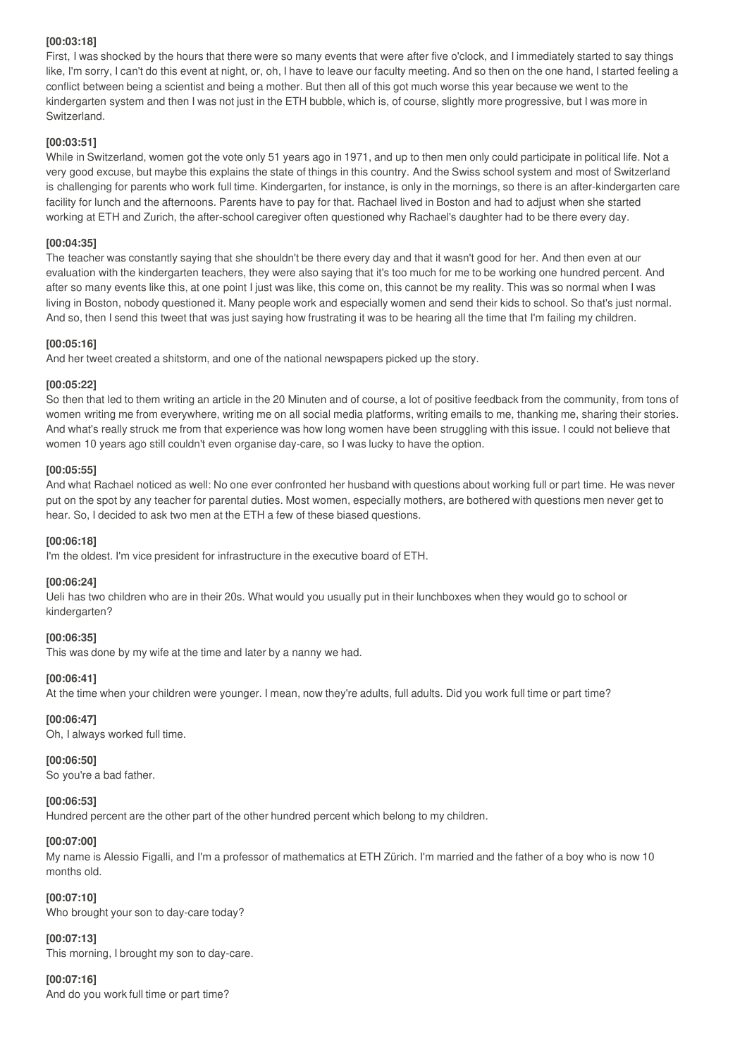## **[00:03:18]**

First, I was shocked by the hours that there were so many events that were after five o'clock, and I immediately started to say things like, I'm sorry, I can't do this event at night, or, oh, I have to leave our faculty meeting. And so then on the one hand, I started feeling a conflict between being a scientist and being a mother. But then all of this got much worse this year because we went to the kindergarten system and then I was not just in the ETH bubble, which is, of course, slightly more progressive, but I was more in Switzerland.

## **[00:03:51]**

While in Switzerland, women got the vote only 51 years ago in 1971, and up to then men only could participate in political life. Not a very good excuse, but maybe this explains the state of things in this country. And the Swiss school system and most of Switzerland is challenging for parents who work full time. Kindergarten, for instance, is only in the mornings, so there is an after-kindergarten care facility for lunch and the afternoons. Parents have to pay for that. Rachael lived in Boston and had to adjust when she started working at ETH and Zurich, the after-school caregiver often questioned why Rachael's daughter had to be there every day.

## **[00:04:35]**

The teacher was constantly saying that she shouldn't be there every day and that it wasn't good for her. And then even at our evaluation with the kindergarten teachers, they were also saying that it's too much for me to be working one hundred percent. And after so many events like this, at one point I just was like, this come on, this cannot be my reality. This was so normal when I was living in Boston, nobody questioned it. Many people work and especially women and send their kids to school. So that's just normal. And so, then I send this tweet that was just saying how frustrating it was to be hearing all the time that I'm failing my children.

## **[00:05:16]**

And her tweet created a shitstorm, and one of the national newspapers picked up the story.

## **[00:05:22]**

So then that led to them writing an article in the 20 Minuten and of course, a lot of positive feedback from the community, from tons of women writing me from everywhere, writing me on all social media platforms, writing emails to me, thanking me, sharing their stories. And what's really struck me from that experience was how long women have been struggling with this issue. I could not believe that women 10 years ago still couldn't even organise day-care, so I was lucky to have the option.

### **[00:05:55]**

And what Rachael noticed as well: No one ever confronted her husband with questions about working full or part time. He was never put on the spot by any teacher for parental duties. Most women, especially mothers, are bothered with questions men never get to hear. So, I decided to ask two men at the ETH a few of these biased questions.

## **[00:06:18]**

I'm the oldest. I'm vice president for infrastructure in the executive board of ETH.

## **[00:06:24]**

Ueli has two children who are in their 20s. What would you usually put in their lunchboxes when they would go to school or kindergarten?

## **[00:06:35]**

This was done by my wife at the time and later by a nanny we had.

## **[00:06:41]**

At the time when your children were younger. I mean, now they're adults, full adults. Did you work full time or part time?

## **[00:06:47]**

Oh, I always worked full time.

### **[00:06:50]**

So you're a bad father.

## **[00:06:53]**

Hundred percent are the other part of the other hundred percent which belong to my children.

### **[00:07:00]**

My name is Alessio Figalli, and I'm a professor of mathematics at ETH Zürich. I'm married and the father of a boy who is now 10 months old.

### **[00:07:10]**

Who brought your son to day-care today?

## **[00:07:13]**

This morning, I brought my son to day-care.

## **[00:07:16]**

And do you work full time or part time?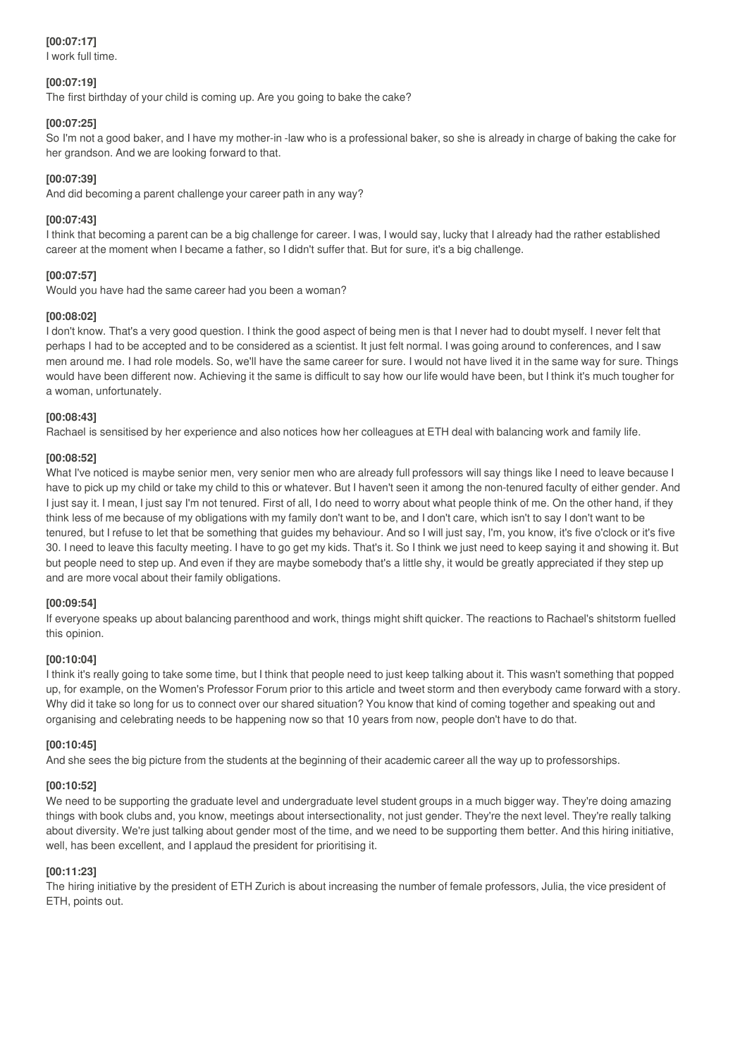# **[00:07:17]**

I work full time.

## **[00:07:19]**

The first birthday of your child is coming up. Are you going to bake the cake?

# **[00:07:25]**

So I'm not a good baker, and I have my mother-in -law who is a professional baker, so she is already in charge of baking the cake for her grandson. And we are looking forward to that.

# **[00:07:39]**

And did becoming a parent challenge your career path in any way?

## **[00:07:43]**

I think that becoming a parent can be a big challenge for career. I was, I would say, lucky that I already had the rather established career at the moment when I became a father, so I didn't suffer that. But for sure, it's a big challenge.

# **[00:07:57]**

Would you have had the same career had you been a woman?

# **[00:08:02]**

I don't know. That's a very good question. I think the good aspect of being men is that I never had to doubt myself. I never felt that perhaps I had to be accepted and to be considered as a scientist. It just felt normal. I was going around to conferences, and I saw men around me. I had role models. So, we'll have the same career for sure. I would not have lived it in the same way for sure. Things would have been different now. Achieving it the same is difficult to say how our life would have been, but I think it's much tougher for a woman, unfortunately.

## **[00:08:43]**

Rachael is sensitised by her experience and also notices how her colleagues at ETH deal with balancing work and family life.

# **[00:08:52]**

What I've noticed is maybe senior men, very senior men who are already full professors will say things like I need to leave because I have to pick up my child or take my child to this or whatever. But I haven't seen it among the non-tenured faculty of either gender. And I just say it. I mean, I just say I'm not tenured. First of all, I do need to worry about what people think of me. On the other hand, if they think less of me because of my obligations with my family don't want to be, and I don't care, which isn't to say I don't want to be tenured, but I refuse to let that be something that guides my behaviour. And so I will just say, I'm, you know, it's five o'clock or it's five 30. I need to leave this faculty meeting. I have to go get my kids. That's it. So I think we just need to keep saying it and showing it. But but people need to step up. And even if they are maybe somebody that's a little shy, it would be greatly appreciated if they step up and are more vocal about their family obligations.

## **[00:09:54]**

If everyone speaks up about balancing parenthood and work, things might shift quicker. The reactions to Rachael's shitstorm fuelled this opinion.

## **[00:10:04]**

I think it's really going to take some time, but I think that people need to just keep talking about it. This wasn't something that popped up, for example, on the Women's Professor Forum prior to this article and tweet storm and then everybody came forward with a story. Why did it take so long for us to connect over our shared situation? You know that kind of coming together and speaking out and organising and celebrating needs to be happening now so that 10 years from now, people don't have to do that.

## **[00:10:45]**

And she sees the big picture from the students at the beginning of their academic career all the way up to professorships.

## **[00:10:52]**

We need to be supporting the graduate level and undergraduate level student groups in a much bigger way. They're doing amazing things with book clubs and, you know, meetings about intersectionality, not just gender. They're the next level. They're really talking about diversity. We're just talking about gender most of the time, and we need to be supporting them better. And this hiring initiative, well, has been excellent, and I applaud the president for prioritising it.

## **[00:11:23]**

The hiring initiative by the president of ETH Zurich is about increasing the number of female professors, Julia, the vice president of ETH, points out.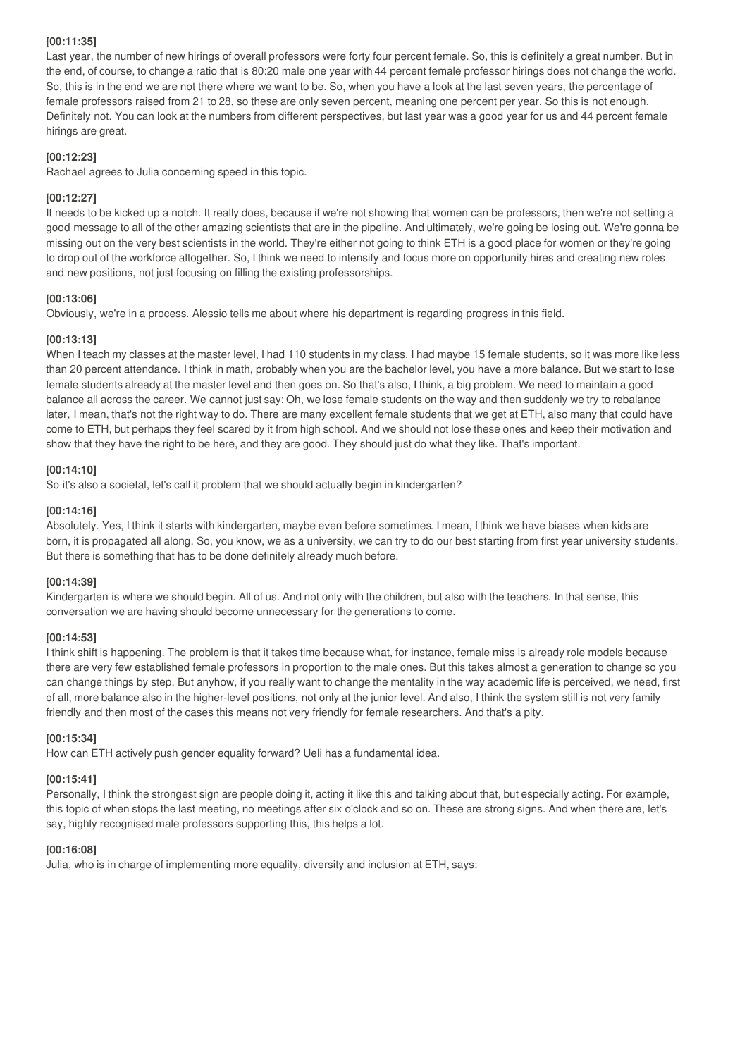## **[00:11:35]**

Last year, the number of new hirings of overall professors were forty four percent female. So, this is definitely a great number. But in the end, of course, to change a ratio that is 80:20 male one year with 44 percent female professor hirings does not change the world. So, this is in the end we are not there where we want to be. So, when you have a look at the last seven years, the percentage of female professors raised from 21 to 28, so these are only seven percent, meaning one percent per year. So this is not enough. Definitely not. You can look at the numbers from different perspectives, but last year was a good year for us and 44 percent female hirings are great.

## **[00:12:23]**

Rachael agrees to Julia concerning speed in this topic.

## **[00:12:27]**

It needs to be kicked up a notch. It really does, because if we're not showing that women can be professors, then we're not setting a good message to all of the other amazing scientists that are in the pipeline. And ultimately, we're going be losing out. We're gonna be missing out on the very best scientists in the world. They're either not going to think ETH is a good place for women or they're going to drop out of the workforce altogether. So, I think we need to intensify and focus more on opportunity hires and creating new roles and new positions, not just focusing on filling the existing professorships.

# **[00:13:06]**

Obviously, we're in a process. Alessio tells me about where his department is regarding progress in this field.

# **[00:13:13]**

When I teach my classes at the master level, I had 110 students in my class. I had maybe 15 female students, so it was more like less than 20 percent attendance. I think in math, probably when you are the bachelor level, you have a more balance. But we start to lose female students already at the master level and then goes on. So that's also, I think, a big problem. We need to maintain a good balance all across the career. We cannot just say: Oh, we lose female students on the way and then suddenly we try to rebalance later, I mean, that's not the right way to do. There are many excellent female students that we get at ETH, also many that could have come to ETH, but perhaps they feel scared by it from high school. And we should not lose these ones and keep their motivation and show that they have the right to be here, and they are good. They should just do what they like. That's important.

# **[00:14:10]**

So it's also a societal, let's call it problem that we should actually begin in kindergarten?

## **[00:14:16]**

Absolutely. Yes, I think it starts with kindergarten, maybe even before sometimes. I mean, I think we have biases when kids are born, it is propagated all along. So, you know, we as a university, we can try to do our best starting from first year university students. But there is something that has to be done definitely already much before.

## **[00:14:39]**

Kindergarten is where we should begin. All of us. And not only with the children, but also with the teachers. In that sense, this conversation we are having should become unnecessary for the generations to come.

## **[00:14:53]**

I think shift is happening. The problem is that it takes time because what, for instance, female miss is already role models because there are very few established female professors in proportion to the male ones. But this takes almost a generation to change so you can change things by step. But anyhow, if you really want to change the mentality in the way academic life is perceived, we need, first of all, more balance also in the higher-level positions, not only at the junior level. And also, I think the system still is not very family friendly and then most of the cases this means not very friendly for female researchers. And that's a pity.

## **[00:15:34]**

How can ETH actively push gender equality forward? Ueli has a fundamental idea.

# **[00:15:41]**

Personally, I think the strongest sign are people doing it, acting it like this and talking about that, but especially acting. For example, this topic of when stops the last meeting, no meetings after six o'clock and so on. These are strong signs. And when there are, let's say, highly recognised male professors supporting this, this helps a lot.

# **[00:16:08]**

Julia, who is in charge of implementing more equality, diversity and inclusion at ETH, says: